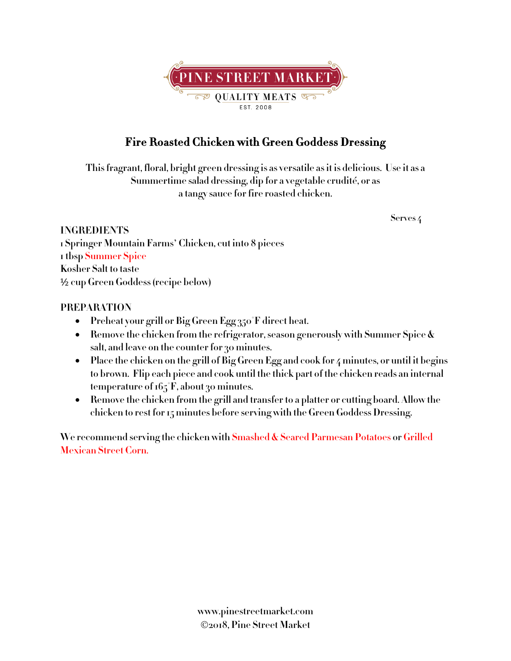

# **Fire Roasted Chicken with Green Goddess Dressing**

**Thisfragrant, floral, bright green dressing is as versatile asit is delicious. Use it as a Summertime salad dressing, dip for a vegetable crudité, or as a tangy sauce for fire roasted chicken.**

#### **INGREDIENTS**

**Serves 4**

**1 Springer Mountain Farms**' **Chicken, cut into 8 pieces 1 tbsp Summer Spice Kosher Salt to taste** ½ **cup Green Goddess (recipe below)**

### **PREPARATION**

- **Preheat your grill or Big Green Egg 350°F direct heat.**
- **Remove the chicken from the refrigerator, season generously with Summer Spice & salt, and leave on the counter for 30 minutes.**
- Place the chicken on the grill of Big Green Egg and cook for 4 minutes, or until it begins **to brown. Flip each piece and cook until the thick part of the chicken reads an internal temperature of165°F, about 30 minutes.**
- **Remove the chicken from the grill and transfer to a platter or cutting board. Allow the chicken to rest for 15 minutes before serving with the Green Goddess Dressing.**

**We recommend serving the chicken with Smashed & Seared Parmesan Potatoes or Grilled Mexican Street Corn.**